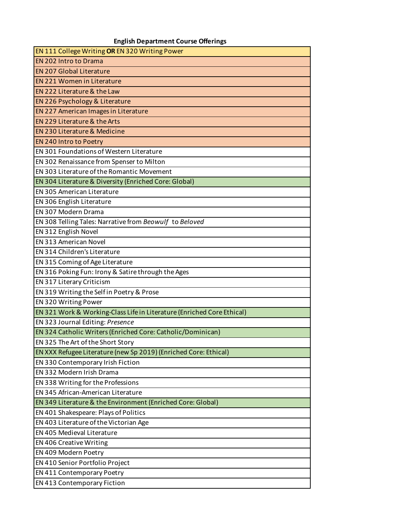## **English Department Course Offerings**

| <b>EN 111 College Writing OR EN 320 Writing Power</b>                  |
|------------------------------------------------------------------------|
| <b>EN 202 Intro to Drama</b>                                           |
| <b>EN 207 Global Literature</b>                                        |
| <b>EN 221 Women in Literature</b>                                      |
| EN 222 Literature & the Law                                            |
| <b>EN 226 Psychology &amp; Literature</b>                              |
| EN 227 American Images in Literature                                   |
| EN 229 Literature & the Arts                                           |
| <b>EN 230 Literature &amp; Medicine</b>                                |
| EN 240 Intro to Poetry                                                 |
| EN 301 Foundations of Western Literature                               |
| EN 302 Renaissance from Spenser to Milton                              |
| EN 303 Literature of the Romantic Movement                             |
| EN 304 Literature & Diversity (Enriched Core: Global)                  |
| <b>EN 305 American Literature</b>                                      |
| EN 306 English Literature                                              |
| EN 307 Modern Drama                                                    |
| EN 308 Telling Tales: Narrative from Beowulf to Beloved                |
| EN 312 English Novel                                                   |
| <b>EN 313 American Novel</b>                                           |
| EN 314 Children's Literature                                           |
| EN 315 Coming of Age Literature                                        |
| EN 316 Poking Fun: Irony & Satire through the Ages                     |
| EN 317 Literary Criticism                                              |
| EN 319 Writing the Self in Poetry & Prose                              |
| EN 320 Writing Power                                                   |
| EN 321 Work & Working-Class Life in Literature (Enriched Core Ethical) |
| EN 323 Journal Editing: Presence                                       |
| EN 324 Catholic Writers (Enriched Core: Catholic/Dominican)            |
| EN 325 The Art of the Short Story                                      |
| EN XXX Refugee Literature (new Sp 2019) (Enriched Core: Ethical)       |
| EN 330 Contemporary Irish Fiction                                      |
| EN 332 Modern Irish Drama                                              |
| EN 338 Writing for the Professions                                     |
| EN 345 African-American Literature                                     |
| EN 349 Literature & the Environment (Enriched Core: Global)            |
| EN 401 Shakespeare: Plays of Politics                                  |
| EN 403 Literature of the Victorian Age                                 |
| EN 405 Medieval Literature                                             |
| EN 406 Creative Writing                                                |
| EN 409 Modern Poetry                                                   |
| EN 410 Senior Portfolio Project                                        |
| EN 411 Contemporary Poetry                                             |
| EN 413 Contemporary Fiction                                            |
|                                                                        |